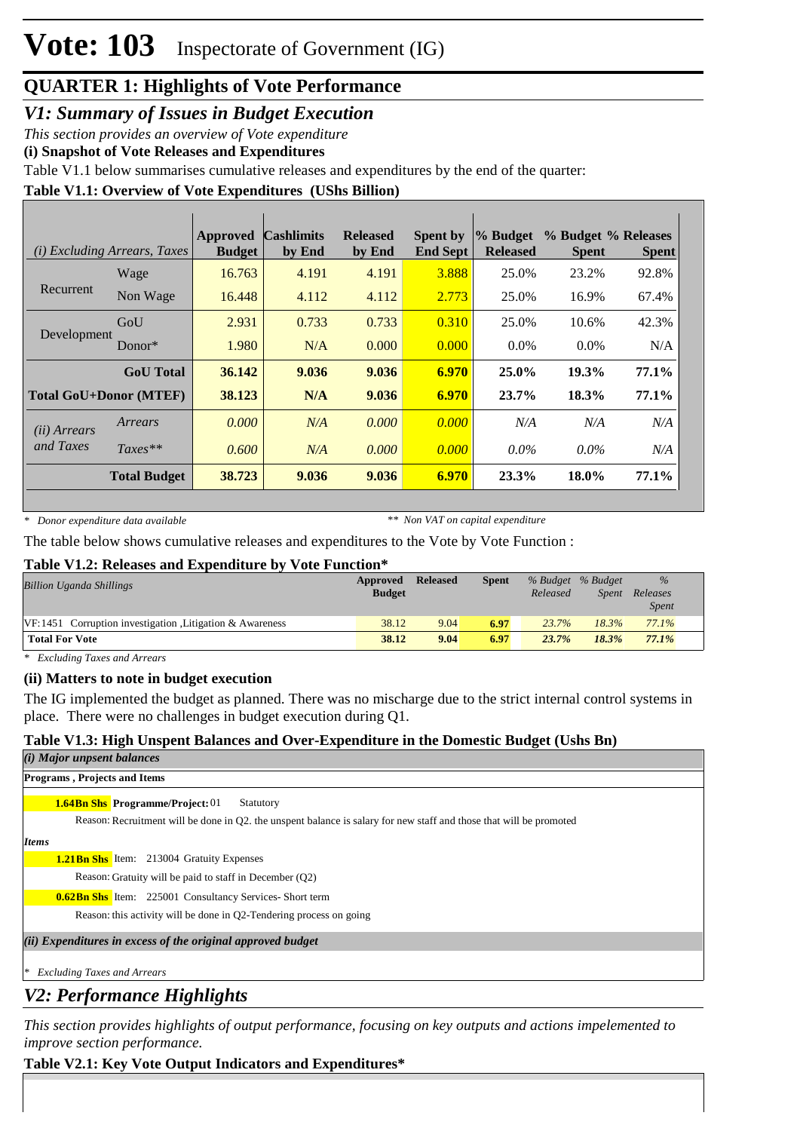*V1: Summary of Issues in Budget Execution*

*This section provides an overview of Vote expenditure* 

**(i) Snapshot of Vote Releases and Expenditures**

Table V1.1 below summarises cumulative releases and expenditures by the end of the quarter:

### **Table V1.1: Overview of Vote Expenditures (UShs Billion)**

|                       | ( <i>i</i> ) Excluding Arrears, Taxes | <b>Approved</b><br><b>Budget</b> | <b>Cashlimits</b><br>by End | <b>Released</b><br>by End | <b>Spent by</b><br><b>End Sept</b> | % Budget <br><b>Released</b> | % Budget % Releases<br><b>Spent</b> | <b>Spent</b> |
|-----------------------|---------------------------------------|----------------------------------|-----------------------------|---------------------------|------------------------------------|------------------------------|-------------------------------------|--------------|
|                       | Wage                                  | 16.763                           | 4.191                       | 4.191                     | 3.888                              | 25.0%                        | 23.2%                               | 92.8%        |
| Recurrent             | Non Wage                              | 16.448                           | 4.112                       | 4.112                     | 2.773                              | 25.0%                        | 16.9%                               | 67.4%        |
|                       | GoU                                   | 2.931                            | 0.733                       | 0.733                     | 0.310                              | 25.0%                        | 10.6%                               | 42.3%        |
| Development           | Donor $*$                             | 1.980                            | N/A                         | 0.000                     | 0.000                              | $0.0\%$                      | $0.0\%$                             | N/A          |
|                       | <b>GoU</b> Total                      | 36.142                           | 9.036                       | 9.036                     | 6.970                              | $25.0\%$                     | 19.3%                               | 77.1%        |
|                       | <b>Total GoU+Donor (MTEF)</b>         | 38.123                           | N/A                         | 9.036                     | 6.970                              | 23.7%                        | 18.3%                               | 77.1%        |
| ( <i>ii</i> ) Arrears | Arrears                               | 0.000                            | N/A                         | 0.000                     | 0.000                              | N/A                          | N/A                                 | N/A          |
| and Taxes             | $Taxes**$                             | 0.600                            | N/A                         | 0.000                     | 0.000                              | $0.0\%$                      | $0.0\%$                             | N/A          |
|                       | <b>Total Budget</b>                   | 38.723                           | 9.036                       | 9.036                     | 6.970                              | 23.3%                        | 18.0%                               | 77.1%        |

*\* Donor expenditure data available*

*\*\* Non VAT on capital expenditure*

The table below shows cumulative releases and expenditures to the Vote by Vote Function :

#### **Table V1.2: Releases and Expenditure by Vote Function\***

| <b>Billion Uganda Shillings</b>                           | Approved<br><b>Budget</b> | <b>Released</b> | <b>Spent</b> | % Budget % Budget<br>Released | <i>Spent</i> | $\%$<br>Releases<br><i>Spent</i> |
|-----------------------------------------------------------|---------------------------|-----------------|--------------|-------------------------------|--------------|----------------------------------|
| $VF:1451$ Corruption investigation Litigation & Awareness | 38.12                     | 9.04            | 6.97         | 23.7%                         | 18.3%        | 77.1%                            |
| <b>Total For Vote</b>                                     | 38.12                     | 9.04            | 6.97         | 23.7%                         | 18.3%        | 77.1%                            |

*\* Excluding Taxes and Arrears*

#### **(ii) Matters to note in budget execution**

The IG implemented the budget as planned. There was no mischarge due to the strict internal control systems in place. There were no challenges in budget execution during Q1.

### **Table V1.3: High Unspent Balances and Over-Expenditure in the Domestic Budget (Ushs Bn)**

| (i) Major unpsent balances          |  |  |
|-------------------------------------|--|--|
| <b>Programs, Projects and Items</b> |  |  |

# **1.64Bn Shs Programme/Project: 01** Statutory

Reason: Recruitment will be done in Q2. the unspent balance is salary for new staff and those that will be promoted

*Items*

#### 1.21Bn Shs Item: 213004 Gratuity Expenses

Reason: Gratuity will be paid to staff in December (Q2)

**0.62Bn Shs** Item: 225001 Consultancy Services- Short term

Reason: this activity will be done in Q2-Tendering process on going

*(ii) Expenditures in excess of the original approved budget*

*\* Excluding Taxes and Arrears*

### *V2: Performance Highlights*

*This section provides highlights of output performance, focusing on key outputs and actions impelemented to improve section performance.*

### **Table V2.1: Key Vote Output Indicators and Expenditures\***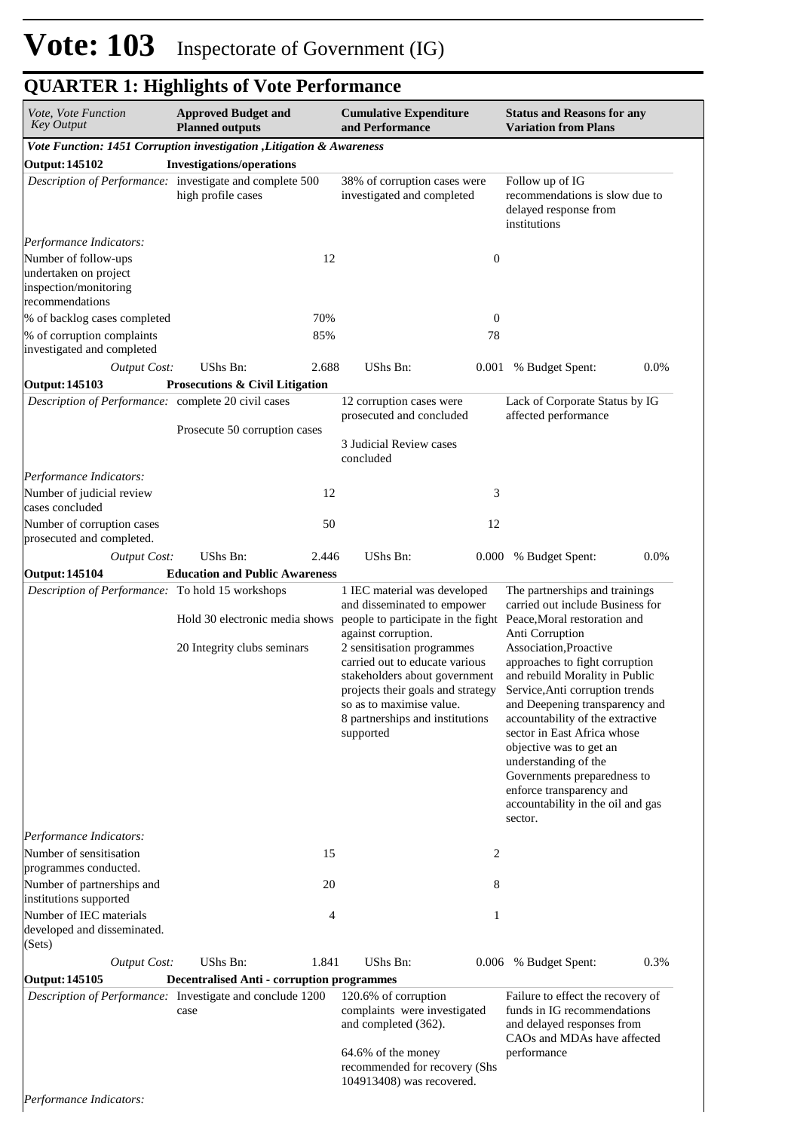| <i>Vote, Vote Function</i><br>Key Output                                                   | <b>Approved Budget and</b><br><b>Cumulative Expenditure</b><br>and Performance<br><b>Planned outputs</b> |       |                                                                                                                                                                                                                                                                                                                                                                         |                  |                                                                                                                                                                                                                                                                                                                                                                                                               |                                |  | <b>Status and Reasons for any</b><br><b>Variation from Plans</b> |  |
|--------------------------------------------------------------------------------------------|----------------------------------------------------------------------------------------------------------|-------|-------------------------------------------------------------------------------------------------------------------------------------------------------------------------------------------------------------------------------------------------------------------------------------------------------------------------------------------------------------------------|------------------|---------------------------------------------------------------------------------------------------------------------------------------------------------------------------------------------------------------------------------------------------------------------------------------------------------------------------------------------------------------------------------------------------------------|--------------------------------|--|------------------------------------------------------------------|--|
| Vote Function: 1451 Corruption investigation , Litigation & Awareness                      |                                                                                                          |       |                                                                                                                                                                                                                                                                                                                                                                         |                  |                                                                                                                                                                                                                                                                                                                                                                                                               |                                |  |                                                                  |  |
| <b>Output: 145102</b>                                                                      | <b>Investigations/operations</b>                                                                         |       |                                                                                                                                                                                                                                                                                                                                                                         |                  |                                                                                                                                                                                                                                                                                                                                                                                                               |                                |  |                                                                  |  |
| Description of Performance: investigate and complete 500                                   | high profile cases                                                                                       |       | 38% of corruption cases were<br>investigated and completed                                                                                                                                                                                                                                                                                                              |                  |                                                                                                                                                                                                                                                                                                                                                                                                               | recommendations is slow due to |  |                                                                  |  |
| Performance Indicators:                                                                    |                                                                                                          |       |                                                                                                                                                                                                                                                                                                                                                                         |                  |                                                                                                                                                                                                                                                                                                                                                                                                               |                                |  |                                                                  |  |
| Number of follow-ups<br>undertaken on project<br>inspection/monitoring<br>recommendations  |                                                                                                          | 12    |                                                                                                                                                                                                                                                                                                                                                                         | $\boldsymbol{0}$ |                                                                                                                                                                                                                                                                                                                                                                                                               |                                |  |                                                                  |  |
| % of backlog cases completed                                                               |                                                                                                          | 70%   |                                                                                                                                                                                                                                                                                                                                                                         | $\boldsymbol{0}$ |                                                                                                                                                                                                                                                                                                                                                                                                               |                                |  |                                                                  |  |
| % of corruption complaints<br>investigated and completed                                   |                                                                                                          | 85%   |                                                                                                                                                                                                                                                                                                                                                                         | 78               |                                                                                                                                                                                                                                                                                                                                                                                                               |                                |  |                                                                  |  |
| <b>Output Cost:</b>                                                                        | UShs Bn:                                                                                                 | 2.688 | UShs Bn:                                                                                                                                                                                                                                                                                                                                                                | 0.001            | % Budget Spent:                                                                                                                                                                                                                                                                                                                                                                                               | 0.0%                           |  |                                                                  |  |
| <b>Output: 145103</b>                                                                      | Prosecutions & Civil Litigation                                                                          |       |                                                                                                                                                                                                                                                                                                                                                                         |                  |                                                                                                                                                                                                                                                                                                                                                                                                               |                                |  |                                                                  |  |
| Description of Performance: complete 20 civil cases                                        | Prosecute 50 corruption cases                                                                            |       | 12 corruption cases were<br>prosecuted and concluded                                                                                                                                                                                                                                                                                                                    |                  | Lack of Corporate Status by IG<br>affected performance                                                                                                                                                                                                                                                                                                                                                        |                                |  |                                                                  |  |
|                                                                                            |                                                                                                          |       | 3 Judicial Review cases<br>concluded                                                                                                                                                                                                                                                                                                                                    |                  |                                                                                                                                                                                                                                                                                                                                                                                                               |                                |  |                                                                  |  |
| Performance Indicators:                                                                    |                                                                                                          |       |                                                                                                                                                                                                                                                                                                                                                                         |                  |                                                                                                                                                                                                                                                                                                                                                                                                               |                                |  |                                                                  |  |
| Number of judicial review<br>cases concluded                                               |                                                                                                          | 12    |                                                                                                                                                                                                                                                                                                                                                                         | 3                |                                                                                                                                                                                                                                                                                                                                                                                                               |                                |  |                                                                  |  |
| Number of corruption cases<br>prosecuted and completed.                                    |                                                                                                          | 50    |                                                                                                                                                                                                                                                                                                                                                                         | 12               |                                                                                                                                                                                                                                                                                                                                                                                                               |                                |  |                                                                  |  |
| <b>Output Cost:</b>                                                                        | UShs Bn:                                                                                                 | 2.446 | UShs Bn:                                                                                                                                                                                                                                                                                                                                                                | 0.000            | % Budget Spent:                                                                                                                                                                                                                                                                                                                                                                                               | 0.0%                           |  |                                                                  |  |
| <b>Output: 145104</b>                                                                      | <b>Education and Public Awareness</b>                                                                    |       |                                                                                                                                                                                                                                                                                                                                                                         |                  |                                                                                                                                                                                                                                                                                                                                                                                                               |                                |  |                                                                  |  |
| Description of Performance: To hold 15 workshops                                           | Hold 30 electronic media shows<br>20 Integrity clubs seminars                                            |       | 1 IEC material was developed<br>and disseminated to empower<br>people to participate in the fight Peace, Moral restoration and<br>against corruption.<br>2 sensitisation programmes<br>carried out to educate various<br>stakeholders about government<br>projects their goals and strategy<br>so as to maximise value.<br>8 partnerships and institutions<br>supported |                  | The partnerships and trainings<br>carried out include Business for<br>Anti Corruption<br>Association, Proactive<br>approaches to fight corruption<br>and rebuild Morality in Public<br>Service, Anti corruption trends<br>and Deepening transparency and<br>accountability of the extractive<br>sector in East Africa whose<br>objective was to get an<br>understanding of the<br>Governments preparedness to |                                |  |                                                                  |  |
|                                                                                            |                                                                                                          |       |                                                                                                                                                                                                                                                                                                                                                                         |                  | enforce transparency and<br>accountability in the oil and gas<br>sector.                                                                                                                                                                                                                                                                                                                                      |                                |  |                                                                  |  |
| Performance Indicators:<br>Number of sensitisation                                         |                                                                                                          | 15    |                                                                                                                                                                                                                                                                                                                                                                         | 2                |                                                                                                                                                                                                                                                                                                                                                                                                               |                                |  |                                                                  |  |
| programmes conducted.<br>Number of partnerships and                                        |                                                                                                          | 20    |                                                                                                                                                                                                                                                                                                                                                                         | 8                |                                                                                                                                                                                                                                                                                                                                                                                                               |                                |  |                                                                  |  |
| institutions supported<br>Number of IEC materials<br>developed and disseminated.<br>(Sets) |                                                                                                          | 4     |                                                                                                                                                                                                                                                                                                                                                                         | 1                |                                                                                                                                                                                                                                                                                                                                                                                                               |                                |  |                                                                  |  |
| <b>Output Cost:</b>                                                                        | UShs Bn:                                                                                                 | 1.841 | UShs Bn:                                                                                                                                                                                                                                                                                                                                                                |                  | 0.006 % Budget Spent:                                                                                                                                                                                                                                                                                                                                                                                         | 0.3%                           |  |                                                                  |  |
| Output: 145105                                                                             | <b>Decentralised Anti - corruption programmes</b>                                                        |       |                                                                                                                                                                                                                                                                                                                                                                         |                  |                                                                                                                                                                                                                                                                                                                                                                                                               |                                |  |                                                                  |  |
| Description of Performance: Investigate and conclude 1200                                  | case                                                                                                     |       | 120.6% of corruption<br>complaints were investigated<br>and completed (362).                                                                                                                                                                                                                                                                                            |                  | Failure to effect the recovery of<br>funds in IG recommendations<br>and delayed responses from<br>CAOs and MDAs have affected                                                                                                                                                                                                                                                                                 |                                |  |                                                                  |  |
|                                                                                            |                                                                                                          |       | 64.6% of the money<br>recommended for recovery (Shs<br>104913408) was recovered.                                                                                                                                                                                                                                                                                        |                  | performance                                                                                                                                                                                                                                                                                                                                                                                                   |                                |  |                                                                  |  |

*Performance Indicators:*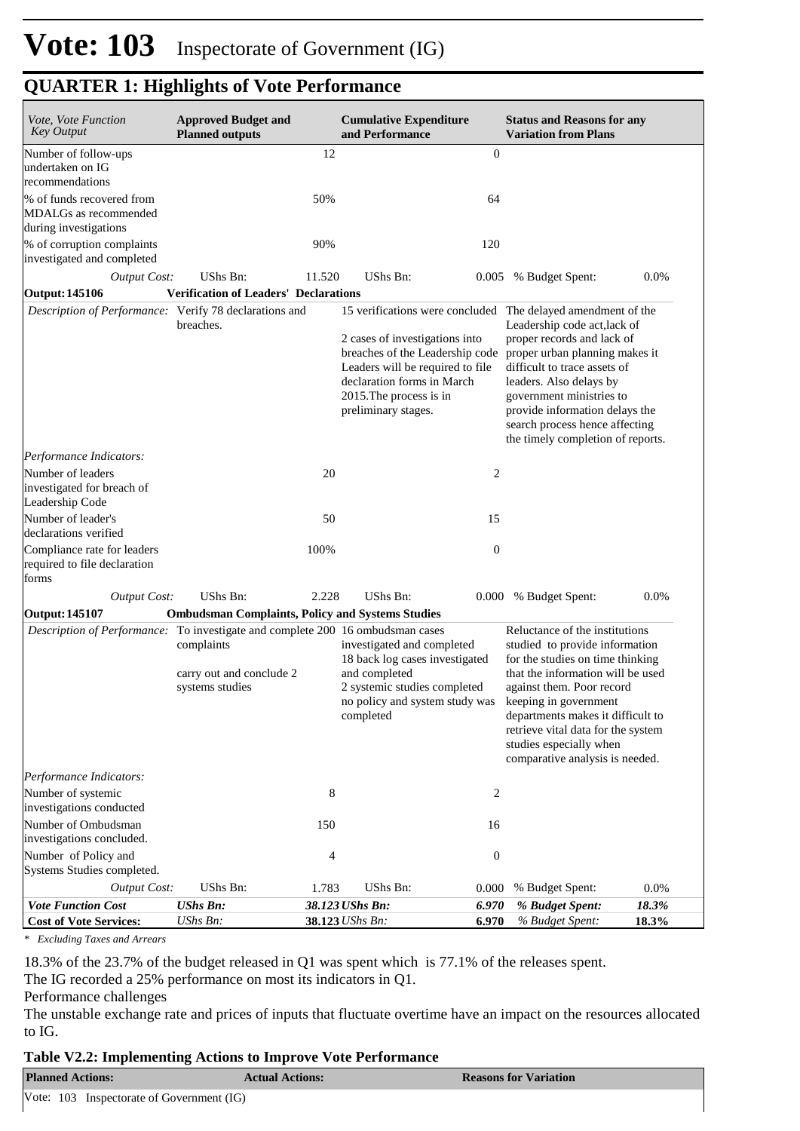| Vote, Vote Function<br><b>Key Output</b>                                       | <b>Approved Budget and</b><br><b>Planned outputs</b>      |        | <b>Cumulative Expenditure</b><br>and Performance                                                                                                                                                                                                      |                  | <b>Status and Reasons for any</b><br><b>Variation from Plans</b>                                                                                                                                                                                                                                                                         |                |
|--------------------------------------------------------------------------------|-----------------------------------------------------------|--------|-------------------------------------------------------------------------------------------------------------------------------------------------------------------------------------------------------------------------------------------------------|------------------|------------------------------------------------------------------------------------------------------------------------------------------------------------------------------------------------------------------------------------------------------------------------------------------------------------------------------------------|----------------|
| Number of follow-ups<br>undertaken on IG<br>recommendations                    |                                                           | 12     |                                                                                                                                                                                                                                                       | $\boldsymbol{0}$ |                                                                                                                                                                                                                                                                                                                                          |                |
| % of funds recovered from<br>MDALGs as recommended<br>during investigations    |                                                           | 50%    |                                                                                                                                                                                                                                                       | 64               |                                                                                                                                                                                                                                                                                                                                          |                |
| % of corruption complaints<br>investigated and completed                       |                                                           | 90%    |                                                                                                                                                                                                                                                       | 120              |                                                                                                                                                                                                                                                                                                                                          |                |
| <b>Output Cost:</b>                                                            | UShs Bn:                                                  | 11.520 | UShs Bn:                                                                                                                                                                                                                                              | 0.005            | % Budget Spent:                                                                                                                                                                                                                                                                                                                          | 0.0%           |
| <b>Output: 145106</b>                                                          | <b>Verification of Leaders' Declarations</b>              |        |                                                                                                                                                                                                                                                       |                  |                                                                                                                                                                                                                                                                                                                                          |                |
| Description of Performance: Verify 78 declarations and                         | breaches.                                                 |        | 15 verifications were concluded The delayed amendment of the<br>2 cases of investigations into<br>breaches of the Leadership code<br>Leaders will be required to file<br>declaration forms in March<br>2015. The process is in<br>preliminary stages. |                  | Leadership code act, lack of<br>proper records and lack of<br>proper urban planning makes it<br>difficult to trace assets of<br>leaders. Also delays by<br>government ministries to<br>provide information delays the<br>search process hence affecting<br>the timely completion of reports.                                             |                |
| Performance Indicators:                                                        |                                                           |        |                                                                                                                                                                                                                                                       |                  |                                                                                                                                                                                                                                                                                                                                          |                |
| Number of leaders<br>investigated for breach of<br>Leadership Code             |                                                           | 20     |                                                                                                                                                                                                                                                       | $\overline{2}$   |                                                                                                                                                                                                                                                                                                                                          |                |
| Number of leader's<br>declarations verified                                    |                                                           | 50     |                                                                                                                                                                                                                                                       | 15               |                                                                                                                                                                                                                                                                                                                                          |                |
| Compliance rate for leaders<br>required to file declaration<br>forms           |                                                           | 100%   |                                                                                                                                                                                                                                                       | $\boldsymbol{0}$ |                                                                                                                                                                                                                                                                                                                                          |                |
| <b>Output Cost:</b>                                                            | UShs Bn:                                                  | 2.228  | UShs Bn:                                                                                                                                                                                                                                              | 0.000            | % Budget Spent:                                                                                                                                                                                                                                                                                                                          | 0.0%           |
| <b>Output: 145107</b>                                                          | <b>Ombudsman Complaints, Policy and Systems Studies</b>   |        |                                                                                                                                                                                                                                                       |                  |                                                                                                                                                                                                                                                                                                                                          |                |
| Description of Performance: To investigate and complete 200 16 ombudsman cases | complaints<br>carry out and conclude 2<br>systems studies |        | investigated and completed<br>18 back log cases investigated<br>and completed<br>2 systemic studies completed<br>no policy and system study was<br>completed                                                                                          |                  | Reluctance of the institutions<br>studied to provide information<br>for the studies on time thinking<br>that the information will be used<br>against them. Poor record<br>keeping in government<br>departments makes it difficult to<br>retrieve vital data for the system<br>studies especially when<br>comparative analysis is needed. |                |
| Performance Indicators:                                                        |                                                           |        |                                                                                                                                                                                                                                                       |                  |                                                                                                                                                                                                                                                                                                                                          |                |
| Number of systemic<br>investigations conducted                                 |                                                           | 8      |                                                                                                                                                                                                                                                       | 2                |                                                                                                                                                                                                                                                                                                                                          |                |
| Number of Ombudsman<br>investigations concluded.                               |                                                           | 150    |                                                                                                                                                                                                                                                       | 16               |                                                                                                                                                                                                                                                                                                                                          |                |
| Number of Policy and<br>Systems Studies completed.                             |                                                           | 4      |                                                                                                                                                                                                                                                       | $\boldsymbol{0}$ |                                                                                                                                                                                                                                                                                                                                          |                |
| <b>Output Cost:</b>                                                            | UShs Bn:                                                  | 1.783  | UShs Bn:                                                                                                                                                                                                                                              | 0.000            | % Budget Spent:                                                                                                                                                                                                                                                                                                                          | 0.0%           |
| <b>Vote Function Cost</b><br><b>Cost of Vote Services:</b>                     | <b>UShs Bn:</b><br>UShs Bn:                               |        | 38.123 UShs Bn:<br>38.123 UShs Bn:                                                                                                                                                                                                                    | 6.970<br>6.970   | % Budget Spent:<br>% Budget Spent:                                                                                                                                                                                                                                                                                                       | 18.3%<br>18.3% |

*\* Excluding Taxes and Arrears*

18.3% of the 23.7% of the budget released in Q1 was spent which is 77.1% of the releases spent.

The IG recorded a 25% performance on most its indicators in Q1.

#### Performance challenges

The unstable exchange rate and prices of inputs that fluctuate overtime have an impact on the resources allocated to IG.

#### **Table V2.2: Implementing Actions to Improve Vote Performance**

| <b>Planned Actions:</b>                   | <b>Actual Actions:</b> | <b>Reasons for Variation</b> |
|-------------------------------------------|------------------------|------------------------------|
| Vote: 103 Inspectorate of Government (IG) |                        |                              |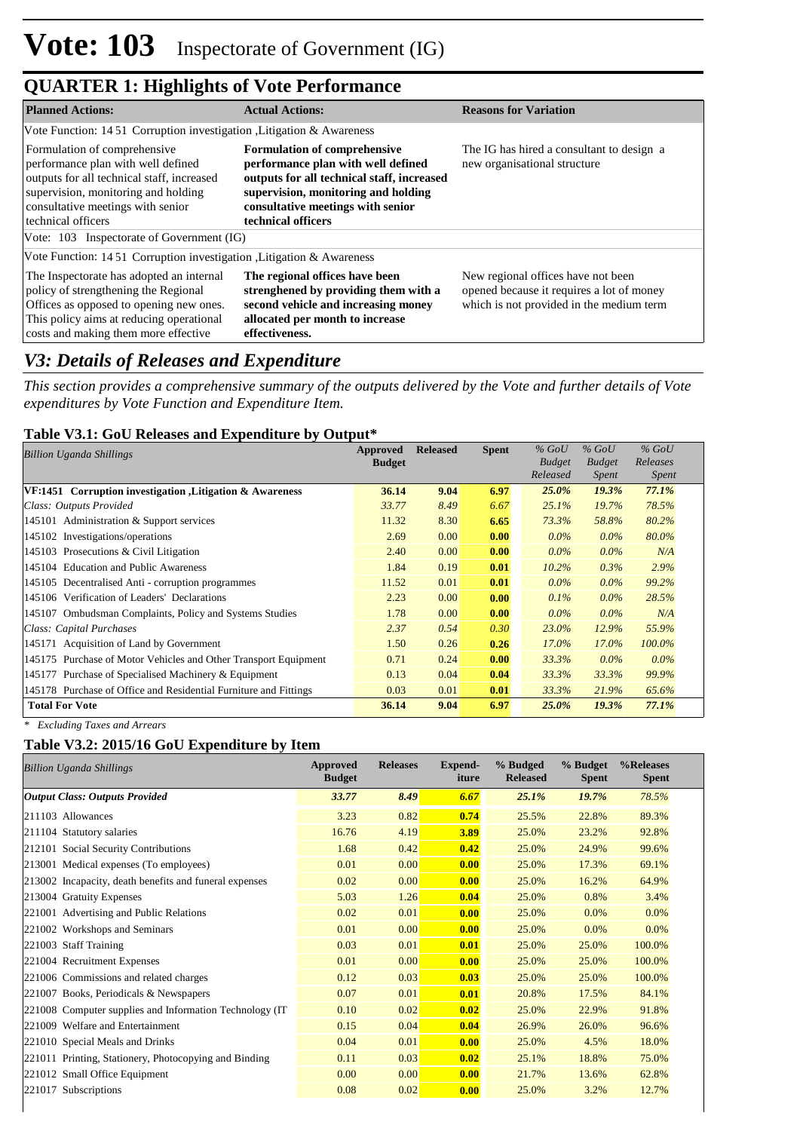| <b>Planned Actions:</b>                                                                                                                                                                                            | <b>Actual Actions:</b>                                                                                                                                                                                                    | <b>Reasons for Variation</b>                                                                                                |
|--------------------------------------------------------------------------------------------------------------------------------------------------------------------------------------------------------------------|---------------------------------------------------------------------------------------------------------------------------------------------------------------------------------------------------------------------------|-----------------------------------------------------------------------------------------------------------------------------|
| Vote Function: 1451 Corruption investigation, Litigation & Awareness                                                                                                                                               |                                                                                                                                                                                                                           |                                                                                                                             |
| Formulation of comprehensive<br>performance plan with well defined<br>outputs for all technical staff, increased<br>supervision, monitoring and holding<br>consultative meetings with senior<br>technical officers | <b>Formulation of comprehensive</b><br>performance plan with well defined<br>outputs for all technical staff, increased<br>supervision, monitoring and holding<br>consultative meetings with senior<br>technical officers | The IG has hired a consultant to design a<br>new organisational structure                                                   |
| Vote: 103 Inspectorate of Government (IG)                                                                                                                                                                          |                                                                                                                                                                                                                           |                                                                                                                             |
| Vote Function: 1451 Corruption investigation, Litigation & Awareness                                                                                                                                               |                                                                                                                                                                                                                           |                                                                                                                             |
| The Inspectorate has adopted an internal<br>policy of strengthening the Regional<br>Offices as opposed to opening new ones.<br>This policy aims at reducing operational<br>costs and making them more effective    | The regional offices have been<br>strenghened by providing them with a<br>second vehicle and increasing money<br>allocated per month to increase<br>effectiveness.                                                        | New regional offices have not been<br>opened because it requires a lot of money<br>which is not provided in the medium term |

### *V3: Details of Releases and Expenditure*

*This section provides a comprehensive summary of the outputs delivered by the Vote and further details of Vote expenditures by Vote Function and Expenditure Item.*

### **Table V3.1: GoU Releases and Expenditure by Output\***

| Billion Uganda Shillings                                         | Approved      | <b>Released</b> | <b>Spent</b> | $\%$ GoU      | $%$ GoU       | $%$ GoU      |
|------------------------------------------------------------------|---------------|-----------------|--------------|---------------|---------------|--------------|
|                                                                  | <b>Budget</b> |                 |              | <b>Budget</b> | <b>Budget</b> | Releases     |
|                                                                  |               |                 |              | Released      | <i>Spent</i>  | <i>Spent</i> |
| VF:1451 Corruption investigation , Litigation & Awareness        | 36.14         | 9.04            | 6.97         | $25.0\%$      | 19.3%         | 77.1%        |
| Class: Outputs Provided                                          | 33.77         | 8.49            | 6.67         | 25.1%         | 19.7%         | 78.5%        |
| 145101 Administration & Support services                         | 11.32         | 8.30            | 6.65         | 73.3%         | 58.8%         | 80.2%        |
| 145102 Investigations/operations                                 | 2.69          | 0.00            | 0.00         | $0.0\%$       | $0.0\%$       | 80.0%        |
| 145103 Prosecutions & Civil Litigation                           | 2.40          | 0.00            | 0.00         | $0.0\%$       | $0.0\%$       | N/A          |
| 145104 Education and Public Awareness                            | 1.84          | 0.19            | 0.01         | $10.2\%$      | 0.3%          | 2.9%         |
| 145105 Decentralised Anti - corruption programmes                | 11.52         | 0.01            | 0.01         | $0.0\%$       | $0.0\%$       | 99.2%        |
| 145106 Verification of Leaders' Declarations                     | 2.23          | 0.00            | 0.00         | $0.1\%$       | $0.0\%$       | 28.5%        |
| 145107 Ombudsman Complaints, Policy and Systems Studies          | 1.78          | 0.00            | 0.00         | $0.0\%$       | $0.0\%$       | N/A          |
| Class: Capital Purchases                                         | 2.37          | 0.54            | 0.30         | 23.0%         | 12.9%         | 55.9%        |
| 145171 Acquisition of Land by Government                         | 1.50          | 0.26            | 0.26         | $17.0\%$      | $17.0\%$      | $100.0\%$    |
| 145175 Purchase of Motor Vehicles and Other Transport Equipment  | 0.71          | 0.24            | 0.00         | 33.3%         | $0.0\%$       | $0.0\%$      |
| 145177 Purchase of Specialised Machinery & Equipment             | 0.13          | 0.04            | 0.04         | 33.3%         | 33.3%         | 99.9%        |
| 145178 Purchase of Office and Residential Furniture and Fittings | 0.03          | 0.01            | 0.01         | 33.3%         | 21.9%         | 65.6%        |
| <b>Total For Vote</b>                                            | 36.14         | 9.04            | 6.97         | 25.0%         | 19.3%         | 77.1%        |

*\* Excluding Taxes and Arrears*

### **Table V3.2: 2015/16 GoU Expenditure by Item**

| <b>Billion Uganda Shillings</b>                          | Approved<br><b>Budget</b> | <b>Releases</b> | Expend-<br>iture | % Budged<br><b>Released</b> | % Budget<br><b>Spent</b> | %Releases<br><b>Spent</b> |
|----------------------------------------------------------|---------------------------|-----------------|------------------|-----------------------------|--------------------------|---------------------------|
| <b>Output Class: Outputs Provided</b>                    | 33.77                     | 8.49            | 6.67             | $25.1\%$                    | 19.7%                    | 78.5%                     |
| 211103 Allowances                                        | 3.23                      | 0.82            | 0.74             | 25.5%                       | 22.8%                    | 89.3%                     |
| 211104 Statutory salaries                                | 16.76                     | 4.19            | 3.89             | 25.0%                       | 23.2%                    | 92.8%                     |
| 212101 Social Security Contributions                     | 1.68                      | 0.42            | 0.42             | 25.0%                       | 24.9%                    | 99.6%                     |
| 213001 Medical expenses (To employees)                   | 0.01                      | 0.00            | 0.00             | 25.0%                       | 17.3%                    | 69.1%                     |
| 213002 Incapacity, death benefits and funeral expenses   | 0.02                      | 0.00            | 0.00             | 25.0%                       | 16.2%                    | 64.9%                     |
| 213004 Gratuity Expenses                                 | 5.03                      | 1.26            | 0.04             | 25.0%                       | 0.8%                     | 3.4%                      |
| 221001 Advertising and Public Relations                  | 0.02                      | 0.01            | 0.00             | 25.0%                       | 0.0%                     | 0.0%                      |
| 221002 Workshops and Seminars                            | 0.01                      | 0.00            | 0.00             | 25.0%                       | 0.0%                     | 0.0%                      |
| 221003 Staff Training                                    | 0.03                      | 0.01            | 0.01             | 25.0%                       | 25.0%                    | 100.0%                    |
| 221004 Recruitment Expenses                              | 0.01                      | 0.00            | 0.00             | 25.0%                       | 25.0%                    | 100.0%                    |
| 221006 Commissions and related charges                   | 0.12                      | 0.03            | 0.03             | 25.0%                       | 25.0%                    | 100.0%                    |
| 221007 Books, Periodicals & Newspapers                   | 0.07                      | 0.01            | 0.01             | 20.8%                       | 17.5%                    | 84.1%                     |
| 221008 Computer supplies and Information Technology (IT) | 0.10                      | 0.02            | 0.02             | 25.0%                       | 22.9%                    | 91.8%                     |
| 221009 Welfare and Entertainment                         | 0.15                      | 0.04            | 0.04             | 26.9%                       | 26.0%                    | 96.6%                     |
| 221010 Special Meals and Drinks                          | 0.04                      | 0.01            | 0.00             | 25.0%                       | 4.5%                     | 18.0%                     |
| 221011 Printing, Stationery, Photocopying and Binding    | 0.11                      | 0.03            | 0.02             | 25.1%                       | 18.8%                    | 75.0%                     |
| 221012 Small Office Equipment                            | 0.00                      | 0.00            | 0.00             | 21.7%                       | 13.6%                    | 62.8%                     |
| 221017 Subscriptions                                     | 0.08                      | 0.02            | 0.00             | 25.0%                       | 3.2%                     | 12.7%                     |